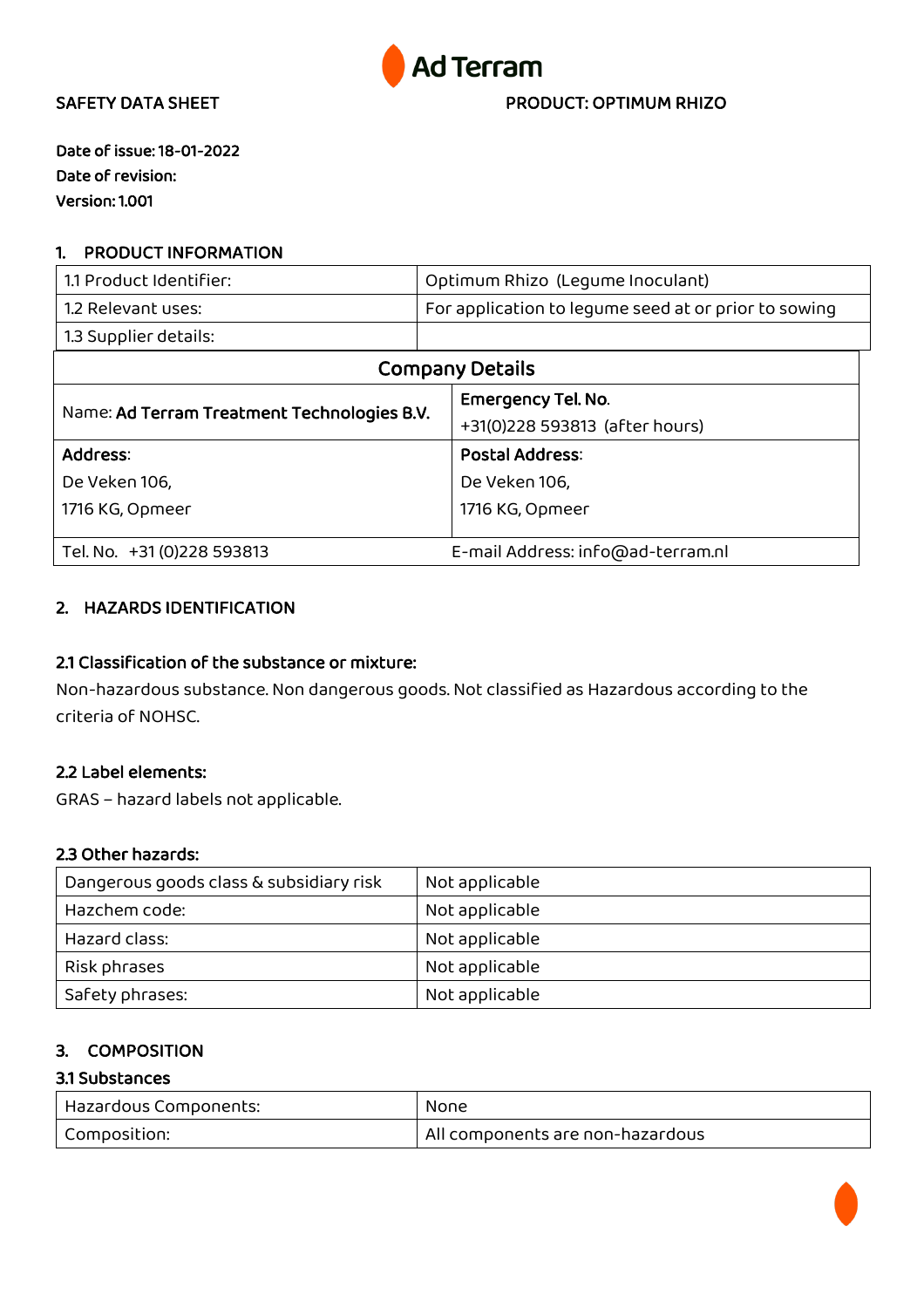

Date of issue: 18-01-2022 Date of revision: Version: 1.001

## 1. PRODUCT INFORMATION

| 1.1 Product Identifier:                     |  | Optimum Rhizo (Lequme Inoculant)                     |  |
|---------------------------------------------|--|------------------------------------------------------|--|
| 1.2 Relevant uses:                          |  | For application to lequme seed at or prior to sowing |  |
| 1.3 Supplier details:                       |  |                                                      |  |
| <b>Company Details</b>                      |  |                                                      |  |
| Name: Ad Terram Treatment Technologies B.V. |  | <b>Emergency Tel. No.</b>                            |  |
|                                             |  | +31(0)228 593813 (after hours)                       |  |
| Address:                                    |  | <b>Postal Address:</b>                               |  |
| De Veken 106,                               |  | De Veken 106,                                        |  |
| 1716 KG, Opmeer                             |  | 1716 KG, Opmeer                                      |  |
|                                             |  |                                                      |  |
| Tel. No. +31 (0) 228 593813                 |  | E-mail Address: info@ad-terram.nl                    |  |

## 2. HAZARDS IDENTIFICATION

## 2.1 Classification of the substance or mixture:

Non-hazardous substance. Non dangerous goods. Not classified as Hazardous according to the criteria of NOHSC.

## 2.2 Label elements:

GRAS – hazard labels not applicable.

### 2.3 Other hazards:

| Dangerous goods class & subsidiary risk | Not applicable |
|-----------------------------------------|----------------|
| Hazchem code:                           | Not applicable |
| Hazard class:                           | Not applicable |
| Risk phrases                            | Not applicable |
| Safety phrases:                         | Not applicable |

## 3. COMPOSITION

### 3.1 Substances

| Hazardous Components: | None                             |
|-----------------------|----------------------------------|
| Composition:          | All components are non-hazardous |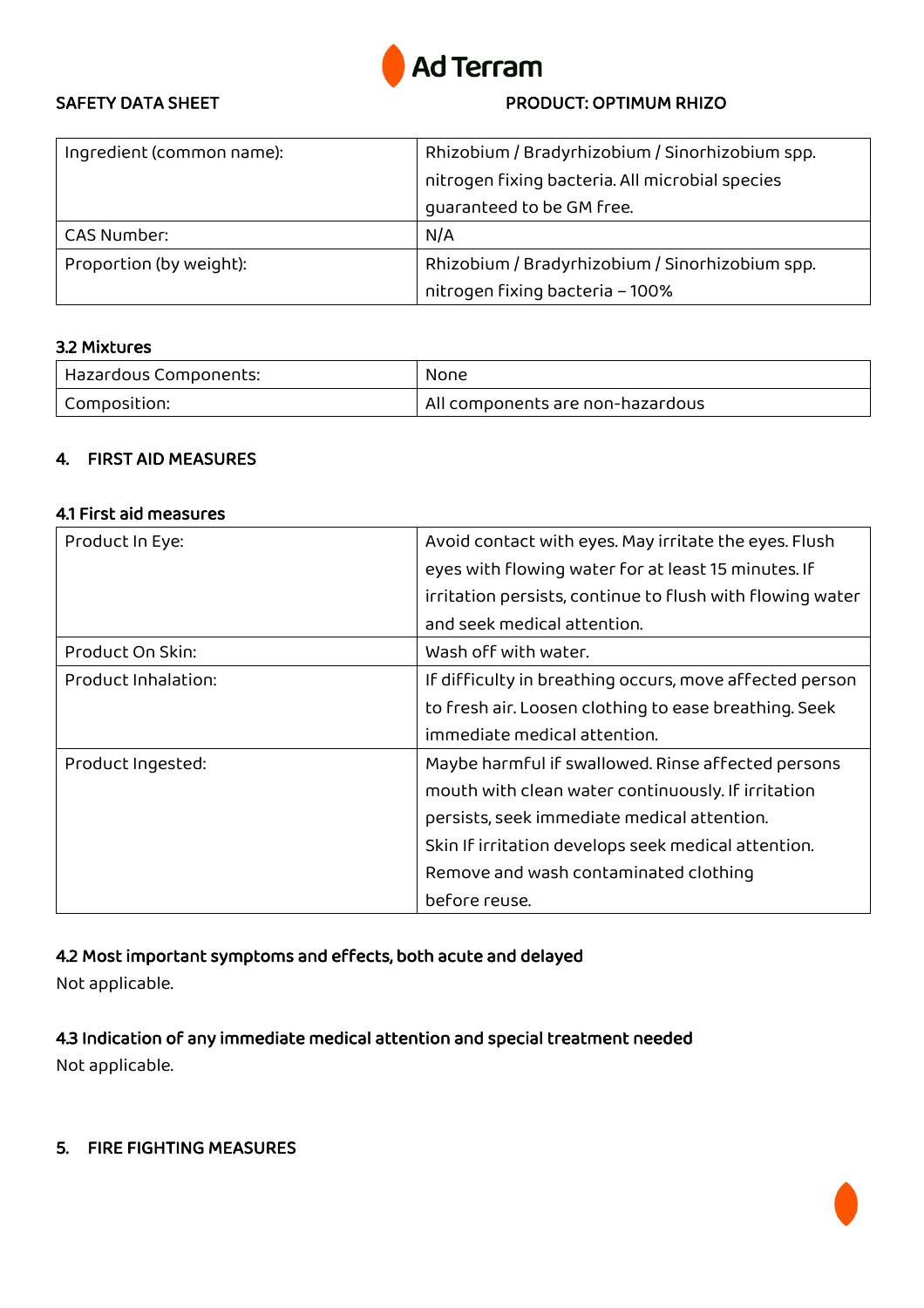

| Ingredient (common name): | Rhizobium / Bradyrhizobium / Sinorhizobium spp. |
|---------------------------|-------------------------------------------------|
|                           | nitrogen fixing bacteria. All microbial species |
|                           | quaranteed to be GM free.                       |
| <b>CAS Number:</b>        | N/A                                             |
| Proportion (by weight):   | Rhizobium / Bradyrhizobium / Sinorhizobium spp. |
|                           | nitrogen fixing bacteria - 100%                 |

### 3.2 Mixtures

| Hazardous Components: | None                             |
|-----------------------|----------------------------------|
| Composition:          | All components are non-hazardous |

## 4. FIRST AID MEASURES

#### 4.1 First aid measures

| Product In Eye:     | Avoid contact with eyes. May irritate the eyes. Flush     |
|---------------------|-----------------------------------------------------------|
|                     | eyes with flowing water for at least 15 minutes. If       |
|                     | irritation persists, continue to flush with flowing water |
|                     | and seek medical attention.                               |
| Product On Skin:    | Wash off with water.                                      |
| Product Inhalation: | If difficulty in breathing occurs, move affected person   |
|                     | to fresh air. Loosen clothing to ease breathing. Seek     |
|                     | immediate medical attention.                              |
| Product Ingested:   | Maybe harmful if swallowed. Rinse affected persons        |
|                     | mouth with clean water continuously. If irritation        |
|                     | persists, seek immediate medical attention.               |
|                     | Skin If irritation develops seek medical attention.       |
|                     | Remove and wash contaminated clothing                     |
|                     | before reuse.                                             |

# 4.2 Most important symptoms and effects, both acute and delayed

Not applicable.

4.3 Indication of any immediate medical attention and special treatment needed Not applicable.

### 5. FIRE FIGHTING MEASURES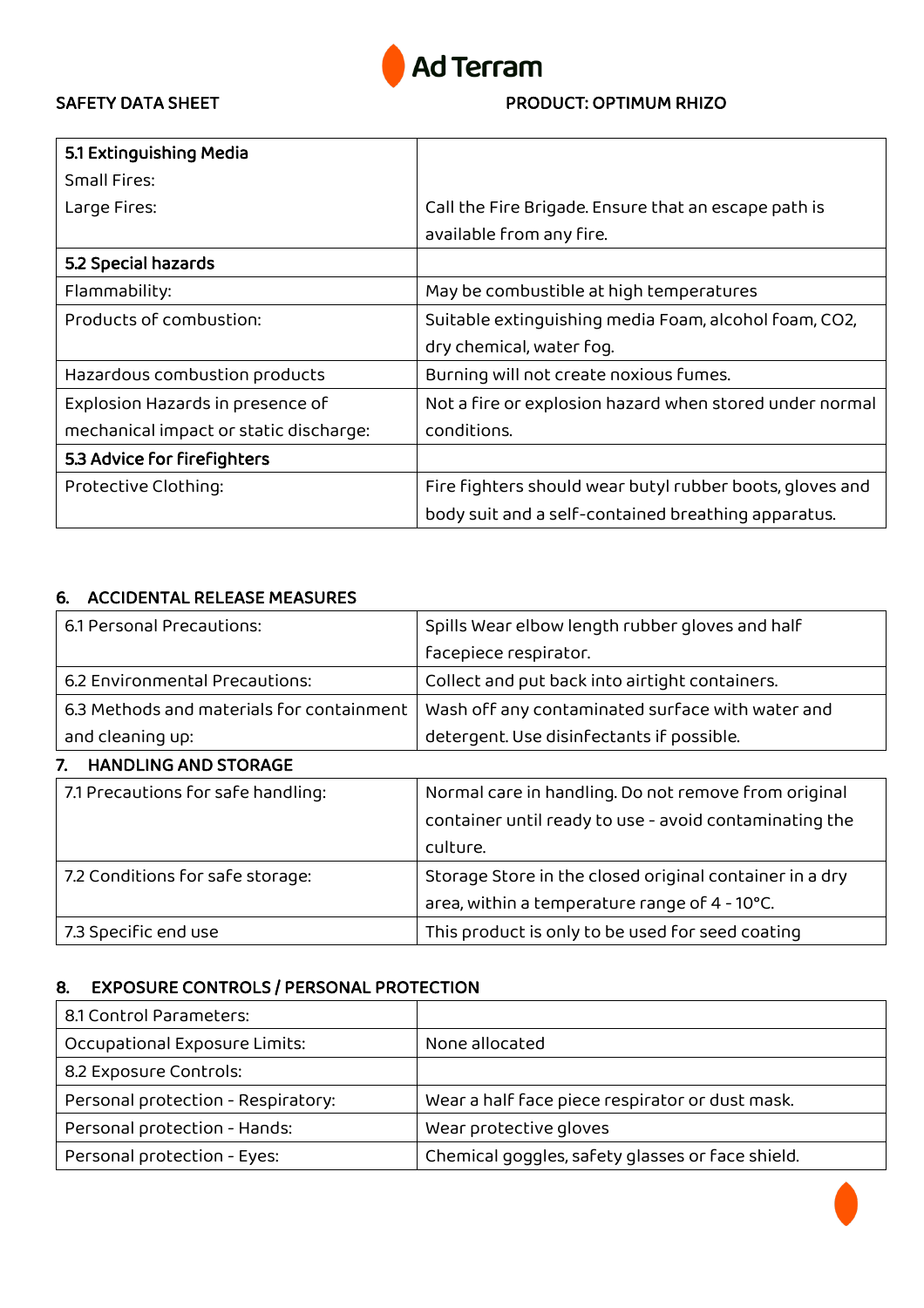

| 5.1 Extinguishing Media                |                                                          |
|----------------------------------------|----------------------------------------------------------|
| Small Fires:                           |                                                          |
| Large Fires:                           | Call the Fire Brigade. Ensure that an escape path is     |
|                                        | available from any fire.                                 |
| 5.2 Special hazards                    |                                                          |
| Flammability:                          | May be combustible at high temperatures                  |
| Products of combustion:                | Suitable extinguishing media Foam, alcohol foam, CO2,    |
|                                        | dry chemical, water fog.                                 |
| Hazardous combustion products          | Burning will not create noxious fumes.                   |
| Explosion Hazards in presence of       | Not a fire or explosion hazard when stored under normal  |
| mechanical impact or static discharge: | conditions.                                              |
| 5.3 Advice for firefighters            |                                                          |
| Protective Clothing:                   | Fire fighters should wear butyl rubber boots, gloves and |
|                                        | body suit and a self-contained breathing apparatus.      |

## 6. ACCIDENTAL RELEASE MEASURES

| 6.1 Personal Precautions:                 | Spills Wear elbow length rubber gloves and half         |
|-------------------------------------------|---------------------------------------------------------|
|                                           | facepiece respirator.                                   |
| 6.2 Environmental Precautions:            | Collect and put back into airtight containers.          |
| 6.3 Methods and materials for containment | Wash off any contaminated surface with water and        |
| and cleaning up:                          | detergent. Use disinfectants if possible.               |
| <b>HANDLING AND STORAGE</b><br>7.         |                                                         |
| 7.1 Precautions for safe handling:        | Normal care in handling. Do not remove from original    |
|                                           | container until ready to use - avoid contaminating the  |
|                                           | culture.                                                |
| 7.2 Conditions for safe storage:          | Storage Store in the closed original container in a dry |
|                                           | area, within a temperature range of 4 - 10°C.           |
| 7.3 Specific end use                      | This product is only to be used for seed coating        |

### 8. EXPOSURE CONTROLS / PERSONAL PROTECTION

| 8.1 Control Parameters:            |                                                  |
|------------------------------------|--------------------------------------------------|
| Occupational Exposure Limits:      | None allocated                                   |
| 8.2 Exposure Controls:             |                                                  |
| Personal protection - Respiratory: | Wear a half face piece respirator or dust mask.  |
| Personal protection - Hands:       | Wear protective gloves                           |
| Personal protection - Eyes:        | Chemical goggles, safety glasses or face shield. |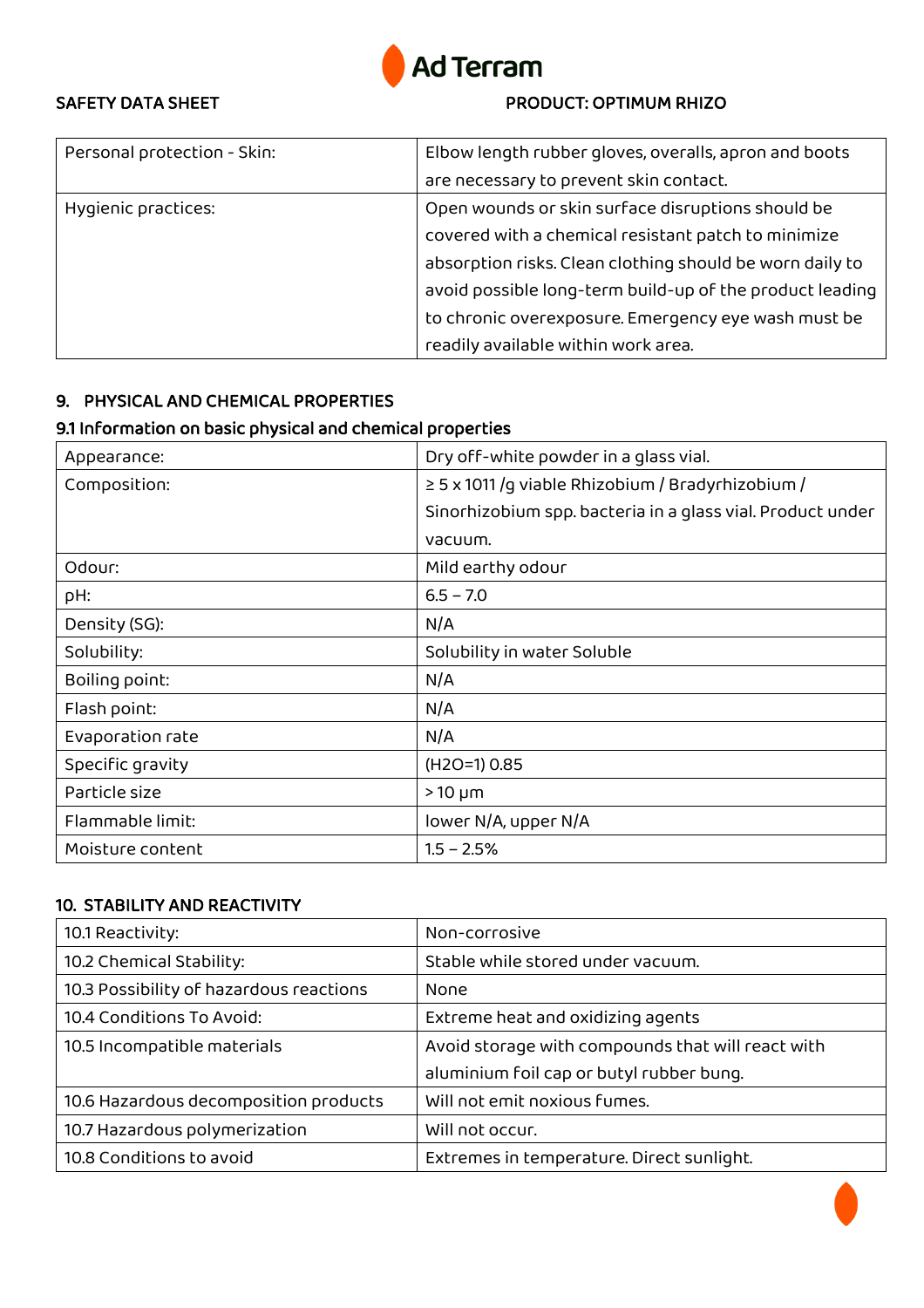

| Personal protection - Skin: | Elbow length rubber gloves, overalls, apron and boots    |
|-----------------------------|----------------------------------------------------------|
|                             | are necessary to prevent skin contact.                   |
| Hygienic practices:         | Open wounds or skin surface disruptions should be        |
|                             | covered with a chemical resistant patch to minimize      |
|                             | absorption risks. Clean clothing should be worn daily to |
|                             | avoid possible long-term build-up of the product leading |
|                             | to chronic overexposure. Emergency eye wash must be      |
|                             | readily available within work area.                      |

## 9. PHYSICAL AND CHEMICAL PROPERTIES

## 9.1 Information on basic physical and chemical properties

| Appearance:      | Dry off-white powder in a glass vial.                      |
|------------------|------------------------------------------------------------|
| Composition:     | $\geq$ 5 x 1011 /g viable Rhizobium / Bradyrhizobium /     |
|                  | Sinorhizobium spp. bacteria in a glass vial. Product under |
|                  | vacuum.                                                    |
| Odour:           | Mild earthy odour                                          |
| pH:              | $6.5 - 7.0$                                                |
| Density (SG):    | N/A                                                        |
| Solubility:      | Solubility in water Soluble                                |
| Boiling point:   | N/A                                                        |
| Flash point:     | N/A                                                        |
| Evaporation rate | N/A                                                        |
| Specific gravity | $(H2O=1) 0.85$                                             |
| Particle size    | $>10 \mu m$                                                |
| Flammable limit: | lower N/A, upper N/A                                       |
| Moisture content | $1.5 - 2.5%$                                               |

### 10. STABILITY AND REACTIVITY

| 10.1 Reactivity:                        | Non-corrosive                                     |
|-----------------------------------------|---------------------------------------------------|
| 10.2 Chemical Stability:                | Stable while stored under vacuum.                 |
| 10.3 Possibility of hazardous reactions | None                                              |
| 10.4 Conditions To Avoid:               | Extreme heat and oxidizing agents                 |
| 10.5 Incompatible materials             | Avoid storage with compounds that will react with |
|                                         | aluminium foil cap or butyl rubber bung.          |
| 10.6 Hazardous decomposition products   | Will not emit noxious fumes.                      |
| 10.7 Hazardous polymerization           | Will not occur.                                   |
| 10.8 Conditions to avoid                | Extremes in temperature. Direct sunlight.         |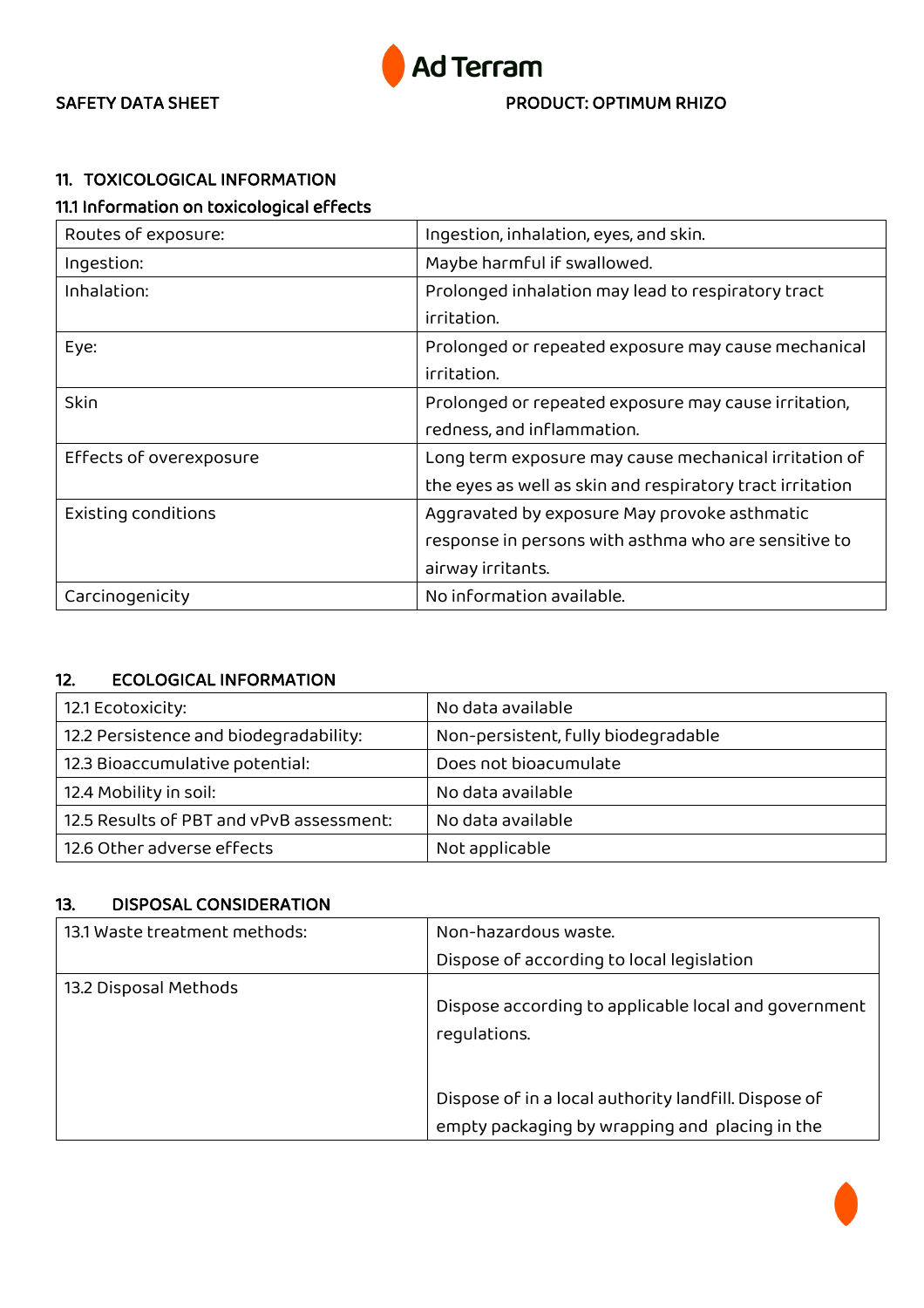

## 11. TOXICOLOGICAL INFORMATION

## 11.1 Information on toxicological effects

| Routes of exposure:     | Ingestion, inhalation, eyes, and skin.                    |
|-------------------------|-----------------------------------------------------------|
| Ingestion:              | Maybe harmful if swallowed.                               |
| Inhalation:             | Prolonged inhalation may lead to respiratory tract        |
|                         | irritation.                                               |
| Eye:                    | Prolonged or repeated exposure may cause mechanical       |
|                         | irritation.                                               |
| Skin                    | Prolonged or repeated exposure may cause irritation,      |
|                         | redness, and inflammation.                                |
| Effects of overexposure | Long term exposure may cause mechanical irritation of     |
|                         | the eyes as well as skin and respiratory tract irritation |
| Existing conditions     | Aggravated by exposure May provoke asthmatic              |
|                         | response in persons with asthma who are sensitive to      |
|                         | airway irritants.                                         |
| Carcinogenicity         | No information available.                                 |

## 12. ECOLOGICAL INFORMATION

| 12.1 Ecotoxicity:                        | No data available                   |
|------------------------------------------|-------------------------------------|
| 12.2 Persistence and biodegradability:   | Non-persistent, fully biodegradable |
| 12.3 Bioaccumulative potential:          | Does not bioacumulate               |
| 12.4 Mobility in soil:                   | No data available                   |
| 12.5 Results of PBT and vPvB assessment: | No data available                   |
| 12.6 Other adverse effects               | Not applicable                      |

### 13. DISPOSAL CONSIDERATION

| 13.1 Waste treatment methods: | Non-hazardous waste.                                                 |
|-------------------------------|----------------------------------------------------------------------|
|                               | Dispose of according to local legislation                            |
| 13.2 Disposal Methods         | Dispose according to applicable local and government<br>requlations. |
|                               | Dispose of in a local authority landfill. Dispose of                 |
|                               | empty packaging by wrapping and placing in the                       |